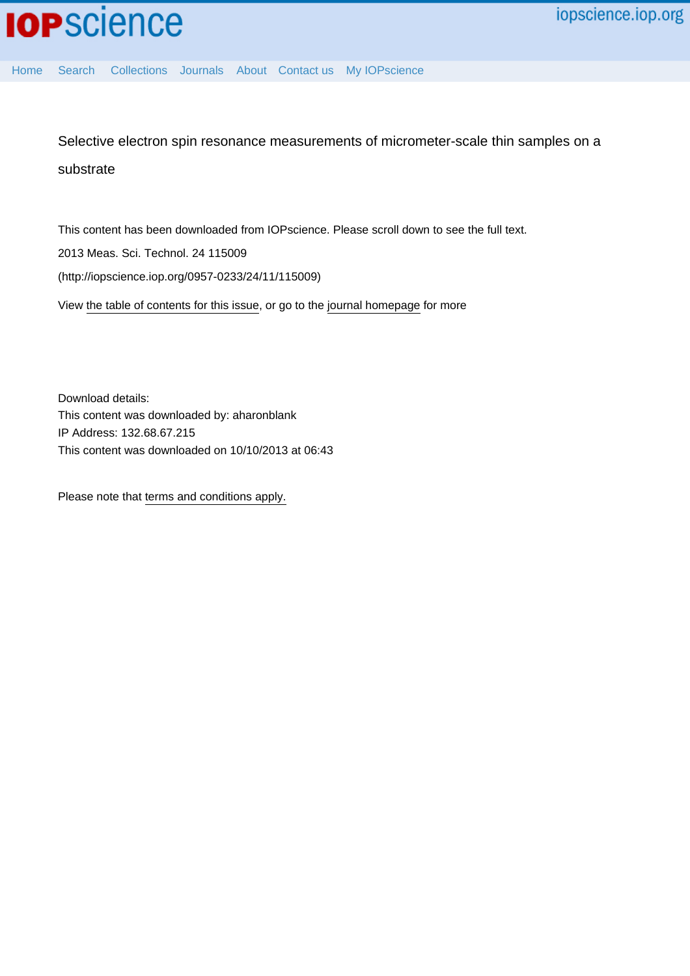[Home](http://iopscience.iop.org/) [Search](http://iopscience.iop.org/search) [Collections](http://iopscience.iop.org/collections) [Journals](http://iopscience.iop.org/journals) [About](http://iopscience.iop.org/page/aboutioppublishing) [Contact us](http://iopscience.iop.org/contact) [My IOPscience](http://iopscience.iop.org/myiopscience)

Selective electron spin resonance measurements of micrometer-scale thin samples on a substrate

This content has been downloaded from IOPscience. Please scroll down to see the full text.

2013 Meas. Sci. Technol. 24 115009

(http://iopscience.iop.org/0957-0233/24/11/115009)

View [the table of contents for this issue](http://iopscience.iop.org/0957-0233/24/11), or go to the [journal homepage](http://iopscience.iop.org/0957-0233) for more

Download details: This content was downloaded by: aharonblank IP Address: 132.68.67.215 This content was downloaded on 10/10/2013 at 06:43

Please note that [terms and conditions apply.](iopscience.iop.org/page/terms)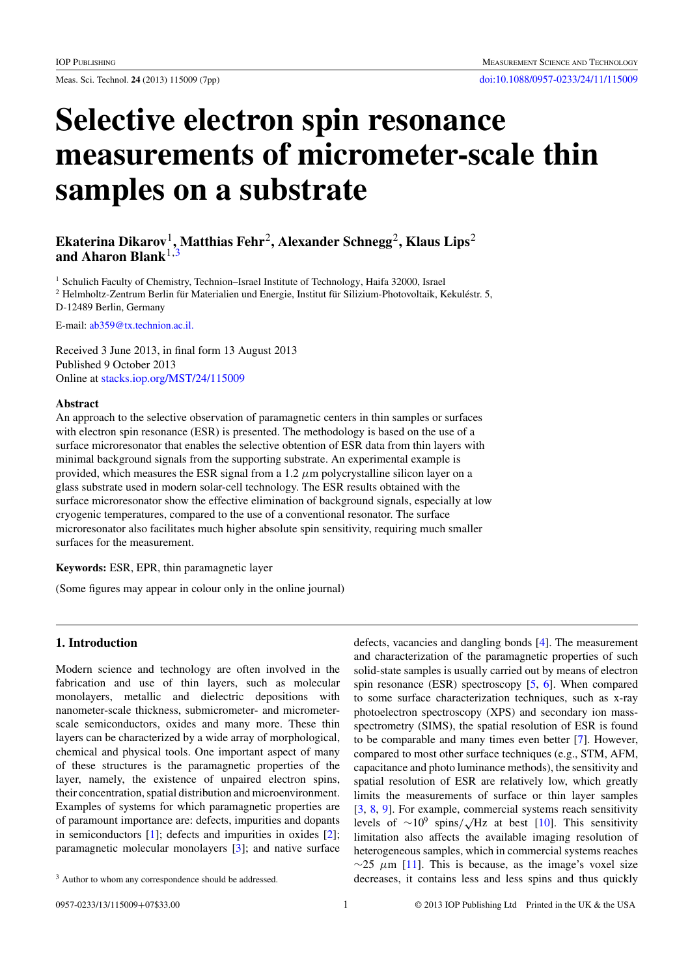# **Selective electron spin resonance measurements of micrometer-scale thin samples on a substrate**

# **Ekaterina Dikarov**1**, Matthias Fehr**2**, Alexander Schnegg**2**, Klaus Lips**<sup>2</sup> **and Aharon Blank**1,3

<sup>1</sup> Schulich Faculty of Chemistry, Technion–Israel Institute of Technology, Haifa 32000, Israel  $2$  Helmholtz-Zentrum Berlin für Materialien und Energie, Institut für Silizium-Photovoltaik, Kekuléstr. 5, D-12489 Berlin, Germany

E-mail: [ab359@tx.technion.ac.il.](mailto:ab359@tx.technion.ac.il.)

Received 3 June 2013, in final form 13 August 2013 Published 9 October 2013 Online at [stacks.iop.org/MST/24/115009](http://stacks.iop.org/MST/24/115009)

#### **Abstract**

An approach to the selective observation of paramagnetic centers in thin samples or surfaces with electron spin resonance (ESR) is presented. The methodology is based on the use of a surface microresonator that enables the selective obtention of ESR data from thin layers with minimal background signals from the supporting substrate. An experimental example is provided, which measures the ESR signal from a 1.2  $\mu$ m polycrystalline silicon layer on a glass substrate used in modern solar-cell technology. The ESR results obtained with the surface microresonator show the effective elimination of background signals, especially at low cryogenic temperatures, compared to the use of a conventional resonator. The surface microresonator also facilitates much higher absolute spin sensitivity, requiring much smaller surfaces for the measurement.

**Keywords:** ESR, EPR, thin paramagnetic layer

(Some figures may appear in colour only in the online journal)

## **1. Introduction**

Modern science and technology are often involved in the fabrication and use of thin layers, such as molecular monolayers, metallic and dielectric depositions with nanometer-scale thickness, submicrometer- and micrometerscale semiconductors, oxides and many more. These thin layers can be characterized by a wide array of morphological, chemical and physical tools. One important aspect of many of these structures is the paramagnetic properties of the layer, namely, the existence of unpaired electron spins, their concentration, spatial distribution and microenvironment. Examples of systems for which paramagnetic properties are of paramount importance are: defects, impurities and dopants in semiconductors [\[1](#page-6-0)]; defects and impurities in oxides [\[2](#page-6-0)]; paramagnetic molecular monolayers [\[3](#page-6-0)]; and native surface

defects, vacancies and dangling bonds [\[4](#page-6-0)]. The measurement and characterization of the paramagnetic properties of such solid-state samples is usually carried out by means of electron spin resonance (ESR) spectroscopy [\[5](#page-6-0), [6\]](#page-6-0). When compared to some surface characterization techniques, such as x-ray photoelectron spectroscopy (XPS) and secondary ion massspectrometry (SIMS), the spatial resolution of ESR is found to be comparable and many times even better [\[7](#page-6-0)]. However, compared to most other surface techniques (e.g., STM, AFM, capacitance and photo luminance methods), the sensitivity and spatial resolution of ESR are relatively low, which greatly limits the measurements of surface or thin layer samples [\[3](#page-6-0), [8](#page-7-0), [9\]](#page-7-0). For example, commercial systems reach sensitivity levels of <sup>∼</sup>109 spins*/* √Hz at best [\[10](#page-7-0)]. This sensitivity limitation also affects the available imaging resolution of heterogeneous samples, which in commercial systems reaches  $\sim$ 25  $\mu$ m [\[11](#page-7-0)]. This is because, as the image's voxel size decreases, it contains less and less spins and thus quickly

<sup>&</sup>lt;sup>3</sup> Author to whom any correspondence should be addressed.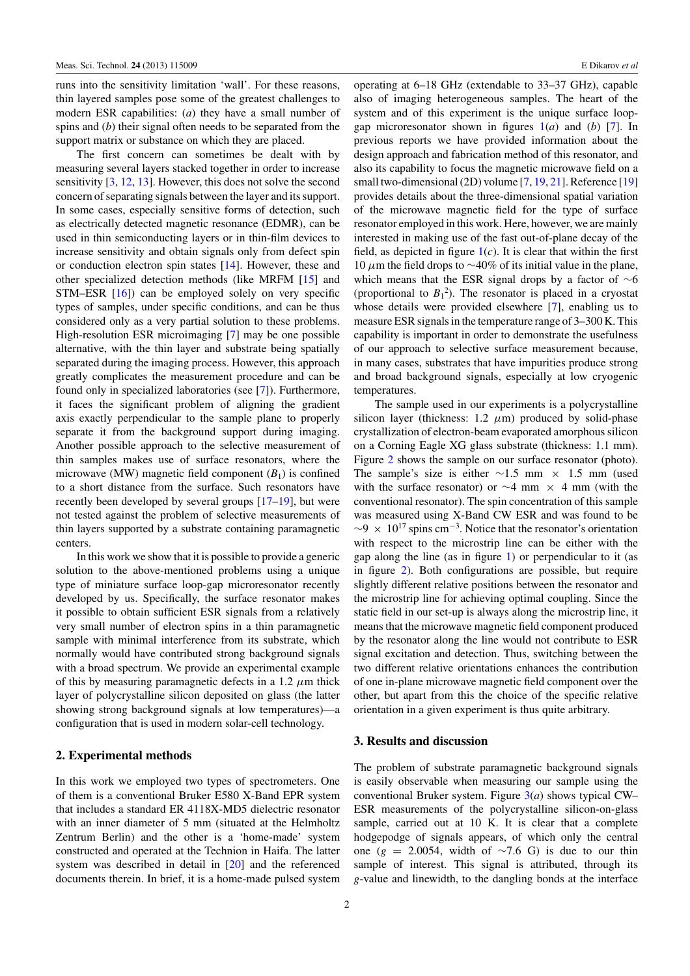runs into the sensitivity limitation 'wall'. For these reasons, thin layered samples pose some of the greatest challenges to modern ESR capabilities: (*a*) they have a small number of spins and (*b*) their signal often needs to be separated from the support matrix or substance on which they are placed.

The first concern can sometimes be dealt with by measuring several layers stacked together in order to increase sensitivity [\[3](#page-6-0), [12,](#page-7-0) [13](#page-7-0)]. However, this does not solve the second concern of separating signals between the layer and its support. In some cases, especially sensitive forms of detection, such as electrically detected magnetic resonance (EDMR), can be used in thin semiconducting layers or in thin-film devices to increase sensitivity and obtain signals only from defect spin or conduction electron spin states [\[14](#page-7-0)]. However, these and other specialized detection methods (like MRFM [\[15](#page-7-0)] and STM–ESR [\[16\]](#page-7-0)) can be employed solely on very specific types of samples, under specific conditions, and can be thus considered only as a very partial solution to these problems. High-resolution ESR microimaging [\[7](#page-6-0)] may be one possible alternative, with the thin layer and substrate being spatially separated during the imaging process. However, this approach greatly complicates the measurement procedure and can be found only in specialized laboratories (see [\[7](#page-6-0)]). Furthermore, it faces the significant problem of aligning the gradient axis exactly perpendicular to the sample plane to properly separate it from the background support during imaging. Another possible approach to the selective measurement of thin samples makes use of surface resonators, where the microwave (MW) magnetic field component  $(B_1)$  is confined to a short distance from the surface. Such resonators have recently been developed by several groups [\[17–19\]](#page-7-0), but were not tested against the problem of selective measurements of thin layers supported by a substrate containing paramagnetic centers.

In this work we show that it is possible to provide a generic solution to the above-mentioned problems using a unique type of miniature surface loop-gap microresonator recently developed by us. Specifically, the surface resonator makes it possible to obtain sufficient ESR signals from a relatively very small number of electron spins in a thin paramagnetic sample with minimal interference from its substrate, which normally would have contributed strong background signals with a broad spectrum. We provide an experimental example of this by measuring paramagnetic defects in a 1.2  $\mu$ m thick layer of polycrystalline silicon deposited on glass (the latter showing strong background signals at low temperatures)—a configuration that is used in modern solar-cell technology.

## **2. Experimental methods**

In this work we employed two types of spectrometers. One of them is a conventional Bruker E580 X-Band EPR system that includes a standard ER 4118X-MD5 dielectric resonator with an inner diameter of 5 mm (situated at the Helmholtz Zentrum Berlin) and the other is a 'home-made' system constructed and operated at the Technion in Haifa. The latter system was described in detail in [\[20\]](#page-7-0) and the referenced documents therein. In brief, it is a home-made pulsed system

operating at 6–18 GHz (extendable to 33–37 GHz), capable also of imaging heterogeneous samples. The heart of the system and of this experiment is the unique surface loopgap microresonator shown in figures [1\(](#page-3-0)*a*) and (*b*) [\[7](#page-6-0)]. In previous reports we have provided information about the design approach and fabrication method of this resonator, and also its capability to focus the magnetic microwave field on a small two-dimensional (2D) volume [\[7](#page-6-0), [19](#page-7-0), [21](#page-7-0)]. Reference [\[19\]](#page-7-0) provides details about the three-dimensional spatial variation of the microwave magnetic field for the type of surface resonator employed in this work. Here, however, we are mainly interested in making use of the fast out-of-plane decay of the field, as depicted in figure  $1(c)$  $1(c)$ . It is clear that within the first 10 μm the field drops to  $\sim$ 40% of its initial value in the plane, which means that the ESR signal drops by a factor of ∼6 (proportional to  $B_1^2$ ). The resonator is placed in a cryostat whose details were provided elsewhere [\[7\]](#page-6-0), enabling us to measure ESR signals in the temperature range of 3–300 K. This capability is important in order to demonstrate the usefulness of our approach to selective surface measurement because, in many cases, substrates that have impurities produce strong and broad background signals, especially at low cryogenic temperatures.

The sample used in our experiments is a polycrystalline silicon layer (thickness:  $1.2 \mu m$ ) produced by solid-phase crystallization of electron-beam evaporated amorphous silicon on a Corning Eagle XG glass substrate (thickness: 1.1 mm). Figure [2](#page-3-0) shows the sample on our surface resonator (photo). The sample's size is either  $\sim$ 1.5 mm × 1.5 mm (used with the surface resonator) or  $\sim$ 4 mm × 4 mm (with the conventional resonator). The spin concentration of this sample was measured using X-Band CW ESR and was found to be  $\sim$ 9 × 10<sup>17</sup> spins cm<sup>-3</sup>. Notice that the resonator's orientation with respect to the microstrip line can be either with the gap along the line (as in figure [1\)](#page-3-0) or perpendicular to it (as in figure [2\)](#page-3-0). Both configurations are possible, but require slightly different relative positions between the resonator and the microstrip line for achieving optimal coupling. Since the static field in our set-up is always along the microstrip line, it means that the microwave magnetic field component produced by the resonator along the line would not contribute to ESR signal excitation and detection. Thus, switching between the two different relative orientations enhances the contribution of one in-plane microwave magnetic field component over the other, but apart from this the choice of the specific relative orientation in a given experiment is thus quite arbitrary.

#### **3. Results and discussion**

The problem of substrate paramagnetic background signals is easily observable when measuring our sample using the conventional Bruker system. Figure [3\(](#page-4-0)*a*) shows typical CW– ESR measurements of the polycrystalline silicon-on-glass sample, carried out at 10 K. It is clear that a complete hodgepodge of signals appears, of which only the central one ( $g = 2.0054$ , width of ~7.6 G) is due to our thin sample of interest. This signal is attributed, through its *g*-value and linewidth, to the dangling bonds at the interface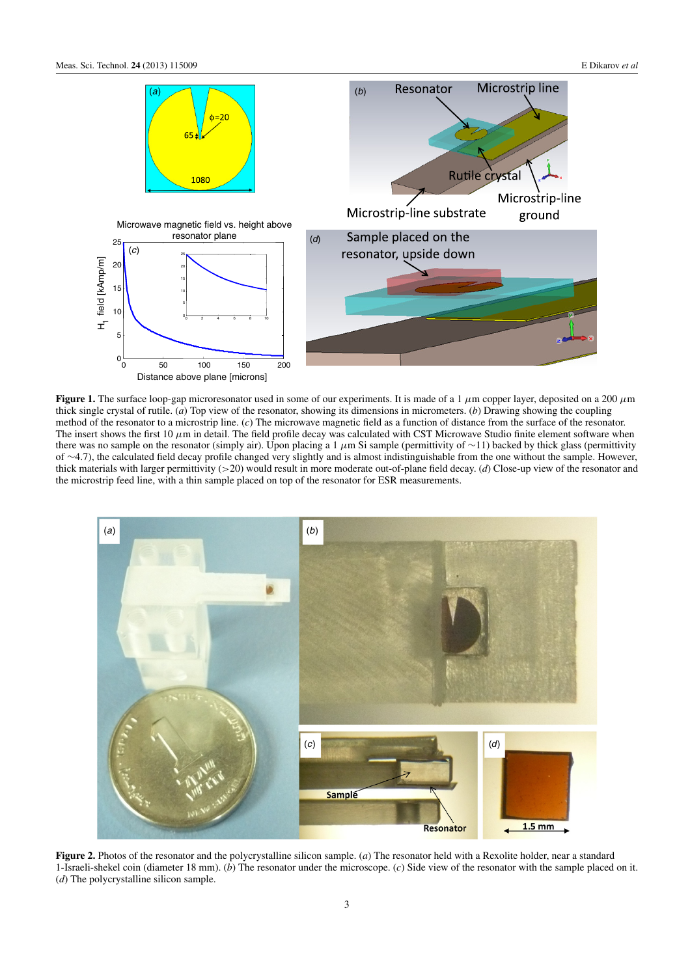<span id="page-3-0"></span>

**Figure 1.** The surface loop-gap microresonator used in some of our experiments. It is made of a 1 μm copper layer, deposited on a 200 μm thick single crystal of rutile. (*a*) Top view of the resonator, showing its dimensions in micrometers. (*b*) Drawing showing the coupling method of the resonator to a microstrip line. (*c*) The microwave magnetic field as a function of distance from the surface of the resonator. The insert shows the first 10  $\mu$ m in detail. The field profile decay was calculated with CST Microwave Studio finite element software when there was no sample on the resonator (simply air). Upon placing a 1  $\mu$ m Si sample (permittivity of ~11) backed by thick glass (permittivity of ∼4.7), the calculated field decay profile changed very slightly and is almost indistinguishable from the one without the sample. However, thick materials with larger permittivity (>20) would result in more moderate out-of-plane field decay. (*d*) Close-up view of the resonator and the microstrip feed line, with a thin sample placed on top of the resonator for ESR measurements.



**Figure 2.** Photos of the resonator and the polycrystalline silicon sample. (*a*) The resonator held with a Rexolite holder, near a standard 1-Israeli-shekel coin (diameter 18 mm). (*b*) The resonator under the microscope. (*c*) Side view of the resonator with the sample placed on it. (*d*) The polycrystalline silicon sample.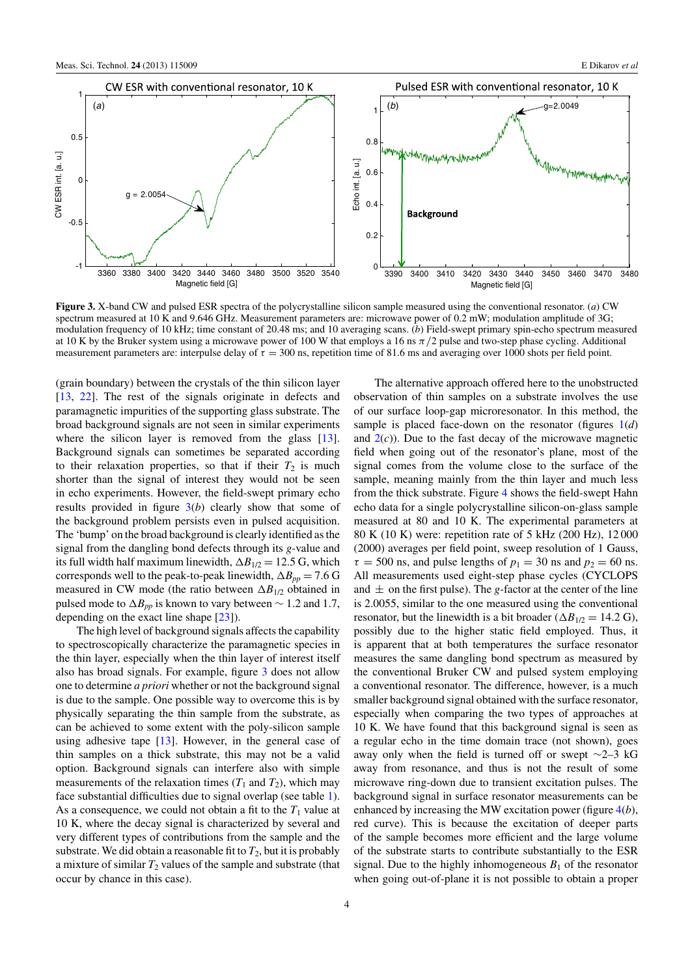<span id="page-4-0"></span>

**Figure 3.** X-band CW and pulsed ESR spectra of the polycrystalline silicon sample measured using the conventional resonator. (*a*) CW spectrum measured at 10 K and 9.646 GHz. Measurement parameters are: microwave power of 0.2 mW; modulation amplitude of 3G; modulation frequency of 10 kHz; time constant of 20.48 ms; and 10 averaging scans. (*b*) Field-swept primary spin-echo spectrum measured at 10 K by the Bruker system using a microwave power of 100 W that employs a 16 ns π*/*2 pulse and two-step phase cycling. Additional measurement parameters are: interpulse delay of  $\tau = 300$  ns, repetition time of 81.6 ms and averaging over 1000 shots per field point.

(grain boundary) between the crystals of the thin silicon layer [\[13](#page-7-0), [22\]](#page-7-0). The rest of the signals originate in defects and paramagnetic impurities of the supporting glass substrate. The broad background signals are not seen in similar experiments where the silicon layer is removed from the glass [\[13](#page-7-0)]. Background signals can sometimes be separated according to their relaxation properties, so that if their  $T_2$  is much shorter than the signal of interest they would not be seen in echo experiments. However, the field-swept primary echo results provided in figure 3(*b*) clearly show that some of the background problem persists even in pulsed acquisition. The 'bump' on the broad background is clearly identified as the signal from the dangling bond defects through its *g-*value and its full width half maximum linewidth,  $\Delta B_{1/2} = 12.5$  G, which corresponds well to the peak-to-peak linewidth,  $\Delta B_{pp} = 7.6$  G measured in CW mode (the ratio between  $\Delta B_{1/2}$  obtained in pulsed mode to  $\Delta B_{pp}$  is known to vary between  $\sim 1.2$  and 1.7, depending on the exact line shape [\[23](#page-7-0)]).

The high level of background signals affects the capability to spectroscopically characterize the paramagnetic species in the thin layer, especially when the thin layer of interest itself also has broad signals. For example, figure 3 does not allow one to determine *a priori* whether or not the background signal is due to the sample. One possible way to overcome this is by physically separating the thin sample from the substrate, as can be achieved to some extent with the poly-silicon sample using adhesive tape [\[13\]](#page-7-0). However, in the general case of thin samples on a thick substrate, this may not be a valid option. Background signals can interfere also with simple measurements of the relaxation times  $(T_1$  and  $T_2)$ , which may face substantial difficulties due to signal overlap (see table [1\)](#page-5-0). As a consequence, we could not obtain a fit to the  $T_1$  value at 10 K, where the decay signal is characterized by several and very different types of contributions from the sample and the substrate. We did obtain a reasonable fit to  $T_2$ , but it is probably a mixture of similar  $T_2$  values of the sample and substrate (that occur by chance in this case).

The alternative approach offered here to the unobstructed observation of thin samples on a substrate involves the use of our surface loop-gap microresonator. In this method, the sample is placed face-down on the resonator (figures [1\(](#page-3-0)*d*) and  $2(c)$  $2(c)$ ). Due to the fast decay of the microwave magnetic field when going out of the resonator's plane, most of the signal comes from the volume close to the surface of the sample, meaning mainly from the thin layer and much less from the thick substrate. Figure [4](#page-5-0) shows the field-swept Hahn echo data for a single polycrystalline silicon-on-glass sample measured at 80 and 10 K. The experimental parameters at 80 K (10 K) were: repetition rate of 5 kHz (200 Hz), 12 000 (2000) averages per field point, sweep resolution of 1 Gauss,  $\tau = 500$  ns, and pulse lengths of  $p_1 = 30$  ns and  $p_2 = 60$  ns. All measurements used eight-step phase cycles (CYCLOPS and  $\pm$  on the first pulse). The *g*-factor at the center of the line is 2.0055, similar to the one measured using the conventional resonator, but the linewidth is a bit broader ( $\Delta B_{1/2} = 14.2$  G), possibly due to the higher static field employed. Thus, it is apparent that at both temperatures the surface resonator measures the same dangling bond spectrum as measured by the conventional Bruker CW and pulsed system employing a conventional resonator. The difference, however, is a much smaller background signal obtained with the surface resonator, especially when comparing the two types of approaches at 10 K. We have found that this background signal is seen as a regular echo in the time domain trace (not shown), goes away only when the field is turned off or swept ∼2–3 kG away from resonance, and thus is not the result of some microwave ring-down due to transient excitation pulses. The background signal in surface resonator measurements can be enhanced by increasing the MW excitation power (figure [4\(](#page-5-0)*b*), red curve). This is because the excitation of deeper parts of the sample becomes more efficient and the large volume of the substrate starts to contribute substantially to the ESR signal. Due to the highly inhomogeneous  $B_1$  of the resonator when going out-of-plane it is not possible to obtain a proper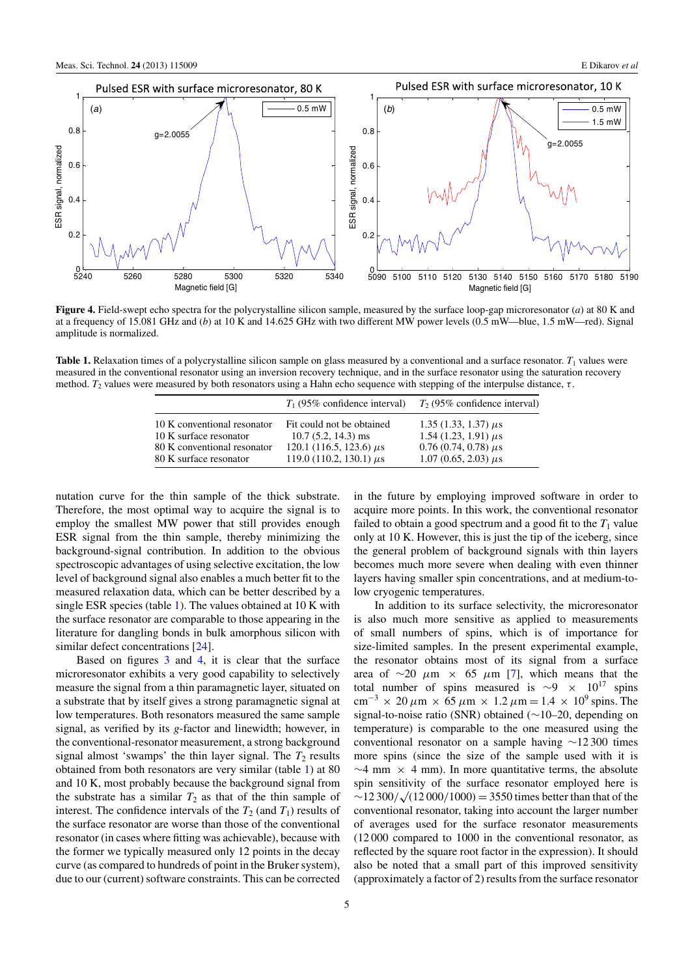<span id="page-5-0"></span>

**Figure 4.** Field-swept echo spectra for the polycrystalline silicon sample, measured by the surface loop-gap microresonator (*a*) at 80 K and at a frequency of 15.081 GHz and (*b*) at 10 K and 14.625 GHz with two different MW power levels (0.5 mW—blue, 1.5 mW—red). Signal amplitude is normalized.

**Table 1.** Relaxation times of a polycrystalline silicon sample on glass measured by a conventional and a surface resonator.  $T_1$  values were measured in the conventional resonator using an inversion recovery technique, and in the surface resonator using the saturation recovery method.  $T_2$  values were measured by both resonators using a Hahn echo sequence with stepping of the interpulse distance, τ.

|                             | $T_1$ (95% confidence interval) | $T2$ (95% confidence interval) |
|-----------------------------|---------------------------------|--------------------------------|
| 10 K conventional resonator | Fit could not be obtained       | 1.35 $(1.33, 1.37) \mu s$      |
| 10 K surface resonator      | $10.7(5.2, 14.3)$ ms            | $1.54(1.23, 1.91) \mu s$       |
| 80 K conventional resonator | 120.1 (116.5, 123.6) $\mu$ s    | $0.76(0.74, 0.78) \mu s$       |
| 80 K surface resonator      | 119.0 (110.2, 130.1) $\mu$ s    | $1.07(0.65, 2.03) \mu s$       |

nutation curve for the thin sample of the thick substrate. Therefore, the most optimal way to acquire the signal is to employ the smallest MW power that still provides enough ESR signal from the thin sample, thereby minimizing the background-signal contribution. In addition to the obvious spectroscopic advantages of using selective excitation, the low level of background signal also enables a much better fit to the measured relaxation data, which can be better described by a single ESR species (table 1). The values obtained at 10 K with the surface resonator are comparable to those appearing in the literature for dangling bonds in bulk amorphous silicon with similar defect concentrations [\[24\]](#page-7-0).

Based on figures [3](#page-4-0) and 4, it is clear that the surface microresonator exhibits a very good capability to selectively measure the signal from a thin paramagnetic layer, situated on a substrate that by itself gives a strong paramagnetic signal at low temperatures. Both resonators measured the same sample signal, as verified by its *g*-factor and linewidth; however, in the conventional-resonator measurement, a strong background signal almost 'swamps' the thin layer signal. The  $T_2$  results obtained from both resonators are very similar (table 1) at 80 and 10 K, most probably because the background signal from the substrate has a similar  $T_2$  as that of the thin sample of interest. The confidence intervals of the  $T_2$  (and  $T_1$ ) results of the surface resonator are worse than those of the conventional resonator (in cases where fitting was achievable), because with the former we typically measured only 12 points in the decay curve (as compared to hundreds of point in the Bruker system), due to our (current) software constraints. This can be corrected

in the future by employing improved software in order to acquire more points. In this work, the conventional resonator failed to obtain a good spectrum and a good fit to the  $T_1$  value only at 10 K. However, this is just the tip of the iceberg, since the general problem of background signals with thin layers becomes much more severe when dealing with even thinner layers having smaller spin concentrations, and at medium-tolow cryogenic temperatures.

In addition to its surface selectivity, the microresonator is also much more sensitive as applied to measurements of small numbers of spins, which is of importance for size-limited samples. In the present experimental example, the resonator obtains most of its signal from a surface area of  $\sim$ 20  $\mu$ m × 65  $\mu$ m [\[7](#page-6-0)], which means that the total number of spins measured is  $\sim$ 9 × 10<sup>17</sup> spins cm<sup>-3</sup> × 20  $\mu$ m × 65  $\mu$ m × 1.2  $\mu$ m = 1.4 × 10<sup>9</sup> spins. The signal-to-noise ratio (SNR) obtained (∼10–20, depending on temperature) is comparable to the one measured using the conventional resonator on a sample having ∼12 300 times more spins (since the size of the sample used with it is  $\sim$ 4 mm × 4 mm). In more quantitative terms, the absolute spin sensitivity of the surface resonator employed here is ∼12 300*/* <sup>√</sup>(12 000*/*1000) <sup>=</sup> 3550 times better than that of the conventional resonator, taking into account the larger number of averages used for the surface resonator measurements (12 000 compared to 1000 in the conventional resonator, as reflected by the square root factor in the expression). It should also be noted that a small part of this improved sensitivity (approximately a factor of 2) results from the surface resonator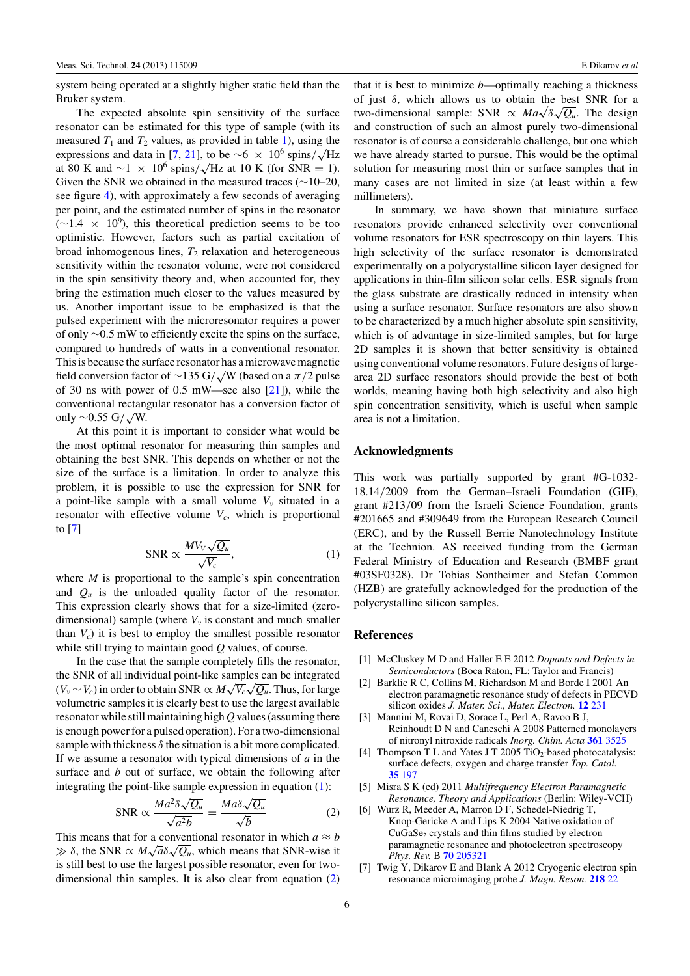<span id="page-6-0"></span>system being operated at a slightly higher static field than the Bruker system.

The expected absolute spin sensitivity of the surface resonator can be estimated for this type of sample (with its measured  $T_1$  and  $T_2$  values, as provided in table [1\)](#page-5-0), using the expressions and data in [7, [21](#page-7-0)], to be ∼6 × 10<sup>6</sup> spins/ $\sqrt{\text{Hz}}$ at 80 K and  $\sim$ 1 × 10<sup>6</sup> spins/ $\sqrt{Hz}$  at 10 K (for SNR = 1). Given the SNR we obtained in the measured traces (∼10–20, see figure [4\)](#page-5-0), with approximately a few seconds of averaging per point, and the estimated number of spins in the resonator  $(\sim 1.4 \times 10^9)$ , this theoretical prediction seems to be too optimistic. However, factors such as partial excitation of broad inhomogenous lines,  $T_2$  relaxation and heterogeneous sensitivity within the resonator volume, were not considered in the spin sensitivity theory and, when accounted for, they bring the estimation much closer to the values measured by us. Another important issue to be emphasized is that the pulsed experiment with the microresonator requires a power of only ∼0.5 mW to efficiently excite the spins on the surface, compared to hundreds of watts in a conventional resonator. This is because the surface resonator has a microwave magnetic field conversion factor of ∼135 G*/* √W (based on a π*/*2 pulse of 30 ns with power of 0.5 mW—see also  $[21]$ ), while the conventional rectangular resonator has a conversion factor of only ∼0.55 G*/* √W.

At this point it is important to consider what would be the most optimal resonator for measuring thin samples and obtaining the best SNR. This depends on whether or not the size of the surface is a limitation. In order to analyze this problem, it is possible to use the expression for SNR for a point-like sample with a small volume  $V<sub>v</sub>$  situated in a resonator with effective volume  $V_c$ , which is proportional to [7]

$$
\text{SNR} \propto \frac{MV_V \sqrt{Q_u}}{\sqrt{V_c}},\tag{1}
$$

where *M* is proportional to the sample's spin concentration and  $Q_u$  is the unloaded quality factor of the resonator. This expression clearly shows that for a size-limited (zerodimensional) sample (where  $V<sub>v</sub>$  is constant and much smaller than  $V_c$ ) it is best to employ the smallest possible resonator while still trying to maintain good *Q* values, of course.

In the case that the sample completely fills the resonator, the SNR of all individual point-like samples can be integrated  $(V_v \sim V_c)$  in order to obtain SNR  $\propto M \sqrt{V_c} \sqrt{Q_u}$ . Thus, for large volumetric samples it is clearly best to use the largest available resonator while still maintaining high *Q* values (assuming there is enough power for a pulsed operation). For a two-dimensional sample with thickness  $\delta$  the situation is a bit more complicated. If we assume a resonator with typical dimensions of *a* in the surface and *b* out of surface, we obtain the following after integrating the point-like sample expression in equation (1):

$$
\text{SNR} \propto \frac{Ma^2 \delta \sqrt{Q_u}}{\sqrt{a^2 b}} = \frac{Ma \delta \sqrt{Q_u}}{\sqrt{b}} \tag{2}
$$

This means that for a conventional resonator in which  $a \approx b$  $\gg \delta$ , the SNR  $\propto M\sqrt{a}\delta\sqrt{Q_u}$ , which means that SNR-wise it is still best to use the largest possible resonator, even for twodimensional thin samples. It is also clear from equation (2) that it is best to minimize *b*—optimally reaching a thickness of just  $\delta$ , which allows us to obtain the best SNR for a two-dimensional sample: SNR  $\propto Ma\sqrt{\delta}\sqrt{Q_u}$ . The design and construction of such an almost purely two-dimensional resonator is of course a considerable challenge, but one which we have already started to pursue. This would be the optimal solution for measuring most thin or surface samples that in many cases are not limited in size (at least within a few millimeters).

In summary, we have shown that miniature surface resonators provide enhanced selectivity over conventional volume resonators for ESR spectroscopy on thin layers. This high selectivity of the surface resonator is demonstrated experimentally on a polycrystalline silicon layer designed for applications in thin-film silicon solar cells. ESR signals from the glass substrate are drastically reduced in intensity when using a surface resonator. Surface resonators are also shown to be characterized by a much higher absolute spin sensitivity, which is of advantage in size-limited samples, but for large 2D samples it is shown that better sensitivity is obtained using conventional volume resonators. Future designs of largearea 2D surface resonators should provide the best of both worlds, meaning having both high selectivity and also high spin concentration sensitivity, which is useful when sample area is not a limitation.

#### **Acknowledgments**

This work was partially supported by grant #G-1032- 18.14*/*2009 from the German–Israeli Foundation (GIF), grant #213*/*09 from the Israeli Science Foundation, grants #201665 and #309649 from the European Research Council (ERC), and by the Russell Berrie Nanotechnology Institute at the Technion. AS received funding from the German Federal Ministry of Education and Research (BMBF grant #03SF0328). Dr Tobias Sontheimer and Stefan Common (HZB) are gratefully acknowledged for the production of the polycrystalline silicon samples.

#### **References**

- [1] McCluskey M D and Haller E E 2012 *Dopants and Defects in Semiconductors* (Boca Raton, FL: Taylor and Francis)
- [2] Barklie R C, Collins M, Richardson M and Borde I 2001 An electron paramagnetic resonance study of defects in PECVD silicon oxides *J. Mater. Sci., Mater. Electron.* **12** [231](http://dx.doi.org/10.1023/A:1011255202813)
- [3] Mannini M, Rovai D, Sorace L, Perl A, Ravoo B J, Reinhoudt D N and Caneschi A 2008 Patterned monolayers of nitronyl nitroxide radicals *Inorg. Chim. Acta* **361** [3525](http://dx.doi.org/10.1016/j.ica.2008.03.008)
- [4] Thompson T L and Yates J T 2005 TiO<sub>2</sub>-based photocatalysis: surface defects, oxygen and charge transfer *Top. Catal.* **35** [197](http://dx.doi.org/10.1007/s11244-005-3825-1)
- [5] Misra S K (ed) 2011 *Multifrequency Electron Paramagnetic Resonance, Theory and Applications* (Berlin: Wiley-VCH)
- [6] Wurz R, Meeder A, Marron D F, Schedel-Niedrig T, Knop-Gericke A and Lips K 2004 Native oxidation of  $CuGaSe<sub>2</sub>$  crystals and thin films studied by electron paramagnetic resonance and photoelectron spectroscopy *Phys. Rev.* B **70** [205321](http://dx.doi.org/10.1103/PhysRevB.70.205321)
- [7] Twig Y, Dikarov E and Blank A 2012 Cryogenic electron spin resonance microimaging probe *J. Magn. Reson.* **[218](http://dx.doi.org/10.1016/j.jmr.2012.03.005)** 22